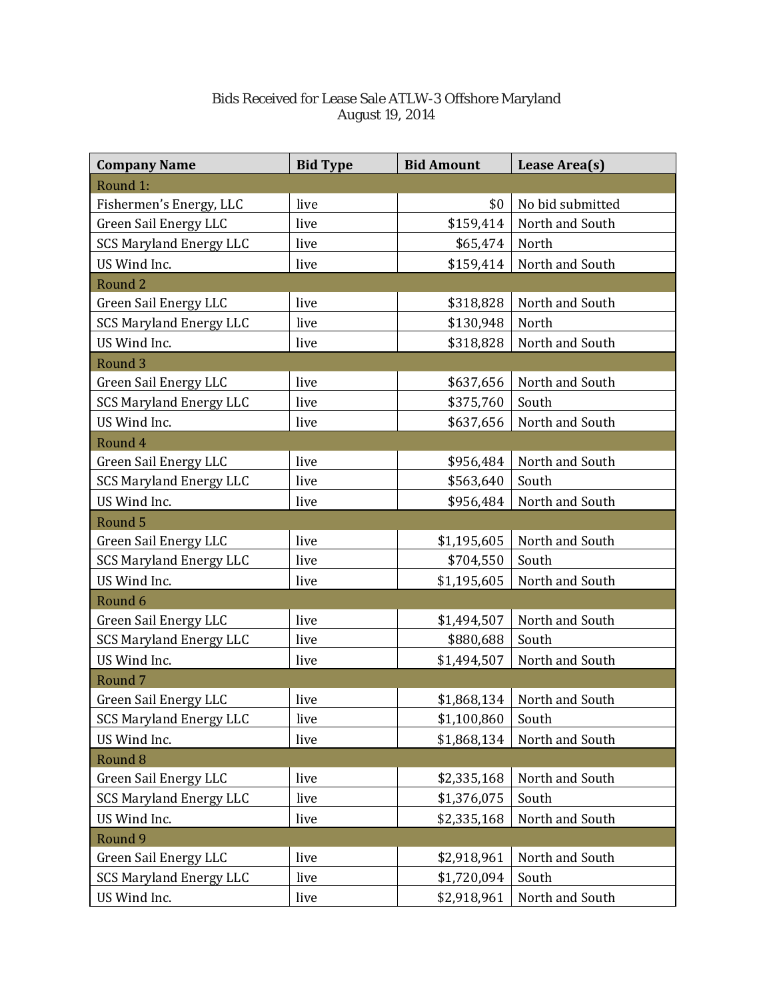## Bids Received for Lease Sale ATLW-3 Offshore Maryland August 19, 2014

| <b>Company Name</b>            | <b>Bid Type</b> | <b>Bid Amount</b> | Lease Area(s)    |
|--------------------------------|-----------------|-------------------|------------------|
| Round 1:                       |                 |                   |                  |
| Fishermen's Energy, LLC        | live            | \$0               | No bid submitted |
| <b>Green Sail Energy LLC</b>   | live            | \$159,414         | North and South  |
| <b>SCS Maryland Energy LLC</b> | live            | \$65,474          | North            |
| US Wind Inc.                   | live            | \$159,414         | North and South  |
| Round <sub>2</sub>             |                 |                   |                  |
| Green Sail Energy LLC          | live            | \$318,828         | North and South  |
| <b>SCS Maryland Energy LLC</b> | live            | \$130,948         | North            |
| US Wind Inc.                   | live            | \$318,828         | North and South  |
| Round <sub>3</sub>             |                 |                   |                  |
| <b>Green Sail Energy LLC</b>   | live            | \$637,656         | North and South  |
| <b>SCS Maryland Energy LLC</b> | live            | \$375,760         | South            |
| US Wind Inc.                   | live            | \$637,656         | North and South  |
| Round 4                        |                 |                   |                  |
| <b>Green Sail Energy LLC</b>   | live            | \$956,484         | North and South  |
| <b>SCS Maryland Energy LLC</b> | live            | \$563,640         | South            |
| US Wind Inc.                   | live            | \$956,484         | North and South  |
| Round 5                        |                 |                   |                  |
| <b>Green Sail Energy LLC</b>   | live            | \$1,195,605       | North and South  |
| <b>SCS Maryland Energy LLC</b> | live            | \$704,550         | South            |
| US Wind Inc.                   | live            | \$1,195,605       | North and South  |
| Round 6                        |                 |                   |                  |
| <b>Green Sail Energy LLC</b>   | live            | \$1,494,507       | North and South  |
| <b>SCS Maryland Energy LLC</b> | live            | \$880,688         | South            |
| US Wind Inc.                   | live            | \$1,494,507       | North and South  |
| Round <sub>7</sub>             |                 |                   |                  |
| Green Sail Energy LLC          | live            | \$1,868,134       | North and South  |
| <b>SCS Maryland Energy LLC</b> | live            | \$1,100,860       | South            |
| US Wind Inc.                   | live            | \$1,868,134       | North and South  |
| Round <sub>8</sub>             |                 |                   |                  |
| <b>Green Sail Energy LLC</b>   | live            | \$2,335,168       | North and South  |
| <b>SCS Maryland Energy LLC</b> | live            | \$1,376,075       | South            |
| US Wind Inc.                   | live            | \$2,335,168       | North and South  |
| Round 9                        |                 |                   |                  |
| <b>Green Sail Energy LLC</b>   | live            | \$2,918,961       | North and South  |
| <b>SCS Maryland Energy LLC</b> | live            | \$1,720,094       | South            |
| US Wind Inc.                   | live            | \$2,918,961       | North and South  |